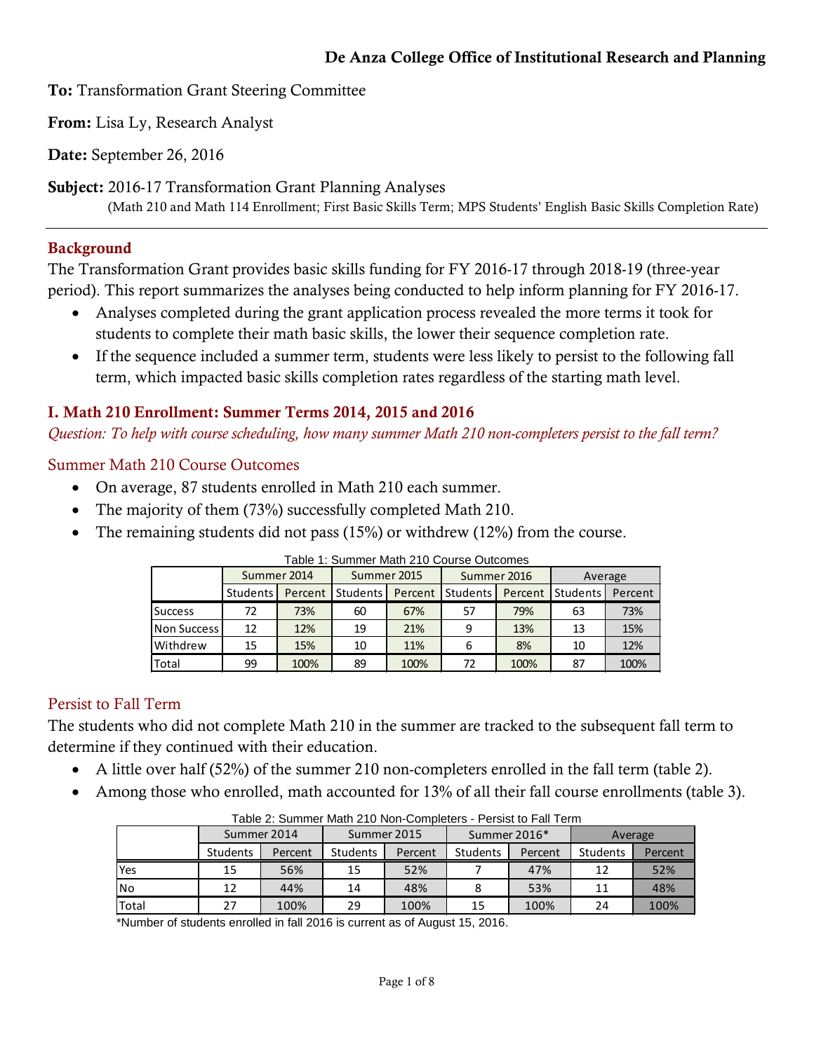### De Anza College Office of Institutional Research and Planning

To: Transformation Grant Steering Committee

From: Lisa Ly, Research Analyst

Date: September 26, 2016

Subject: 2016-17 Transformation Grant Planning Analyses

(Math 210 and Math 114 Enrollment; First Basic Skills Term; MPS Students' English Basic Skills Completion Rate)

#### Background

The Transformation Grant provides basic skills funding for FY 2016-17 through 2018-19 (three-year period). This report summarizes the analyses being conducted to help inform planning for FY 2016-17.

- Analyses completed during the grant application process revealed the more terms it took for students to complete their math basic skills, the lower their sequence completion rate.
- If the sequence included a summer term, students were less likely to persist to the following fall term, which impacted basic skills completion rates regardless of the starting math level.

### I. Math 210 Enrollment: Summer Terms 2014, 2015 and 2016

*Question: To help with course scheduling, how many summer Math 210 non-completers persist to the fall term?*

#### Summer Math 210 Course Outcomes

- On average, 87 students enrolled in Math 210 each summer.
- The majority of them (73%) successfully completed Math 210.
- The remaining students did not pass  $(15%)$  or withdrew  $(12%)$  from the course.

|             | Summer 2014 |         |                 | Summer 2015 |          | Summer 2016 | Average  |         |
|-------------|-------------|---------|-----------------|-------------|----------|-------------|----------|---------|
|             | Students    | Percent | <b>Students</b> | Percent     | Students | Percent     | Students | Percent |
| lSuccess    | 72          | 73%     | 60              | 67%         | 57       | 79%         | 63       | 73%     |
| Non Success | 12          | 12%     | 19              | 21%         | 9        | 13%         | 13       | 15%     |
| Withdrew    | 15          | 15%     | 10              | 11%         | 6        | 8%          | 10       | 12%     |
| Total       | 99          | 100%    | 89              | 100%        | 72       | 100%        | 87       | 100%    |

Table 1: Summer Math 210 Course Outcomes

#### Persist to Fall Term

The students who did not complete Math 210 in the summer are tracked to the subsequent fall term to determine if they continued with their education.

- A little over half (52%) of the summer 210 non-completers enrolled in the fall term (table 2).
- Among those who enrolled, math accounted for 13% of all their fall course enrollments (table 3).

|              | Summer 2014 |         | Summer 2015     |         | Summer 2016*    |         | Average  |         |
|--------------|-------------|---------|-----------------|---------|-----------------|---------|----------|---------|
|              | Students    | Percent | <b>Students</b> | Percent | <b>Students</b> | Percent | Students | Percent |
| <b>IYes</b>  | 15          | 56%     | 15              | 52%     |                 | 47%     | 12       | 52%     |
| lNo          | 12          | 44%     | 14              | 48%     |                 | 53%     | 11       | 48%     |
| <b>Total</b> | 27          | 100%    | 29              | 100%    | 15              | 100%    | 24       | 100%    |

Table 2: Summer Math 210 Non-Completers - Persist to Fall Term

\*Number of students enrolled in fall 2016 is current as of August 15, 2016.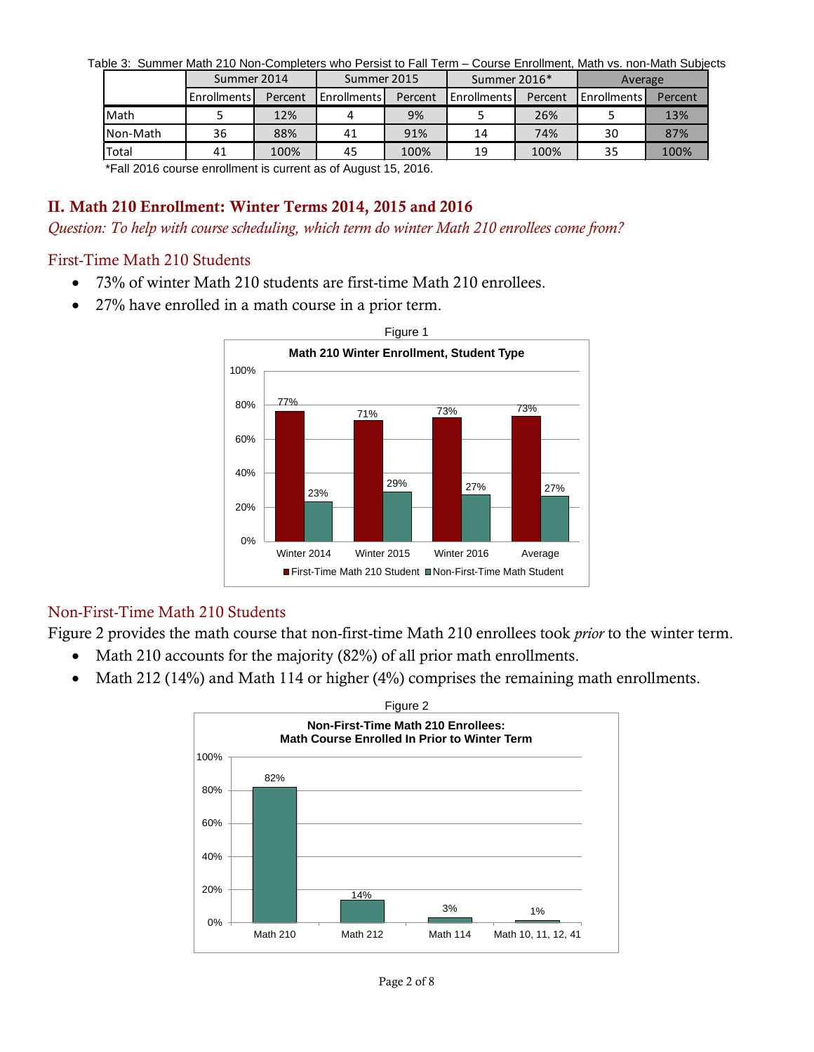|  |  | Table 3: Summer Math 210 Non-Completers who Persist to Fall Term – Course Enrollment. Math vs. non-Math Subiects |  |  |  |
|--|--|------------------------------------------------------------------------------------------------------------------|--|--|--|
|  |  |                                                                                                                  |  |  |  |

|               | Summer 2014      |         | Summer 2015 |         | Summer 2016*       |         | Average            |         |
|---------------|------------------|---------|-------------|---------|--------------------|---------|--------------------|---------|
|               | I Enrollments l' | Percent | Enrollments | Percent | <b>Enrollments</b> | Percent | <b>Enrollments</b> | Percent |
| <b>I</b> Math |                  | 12%     |             | 9%      |                    | 26%     |                    | 13%     |
| lNon-Math     | 36               | 88%     | 41          | 91%     | 14                 | 74%     | 30                 | 87%     |
| Total         | 41               | 100%    | 45          | 100%    | 19                 | 100%    |                    | 100%    |

\*Fall 2016 course enrollment is current as of August 15, 2016.

#### II. Math 210 Enrollment: Winter Terms 2014, 2015 and 2016

*Question: To help with course scheduling, which term do winter Math 210 enrollees come from?*

#### First-Time Math 210 Students

- 73% of winter Math 210 students are first-time Math 210 enrollees.
- 27% have enrolled in a math course in a prior term.



#### Non-First-Time Math 210 Students

Figure 2 provides the math course that non-first-time Math 210 enrollees took *prior* to the winter term.

- Math 210 accounts for the majority (82%) of all prior math enrollments.
- Math 212 (14%) and Math 114 or higher (4%) comprises the remaining math enrollments.

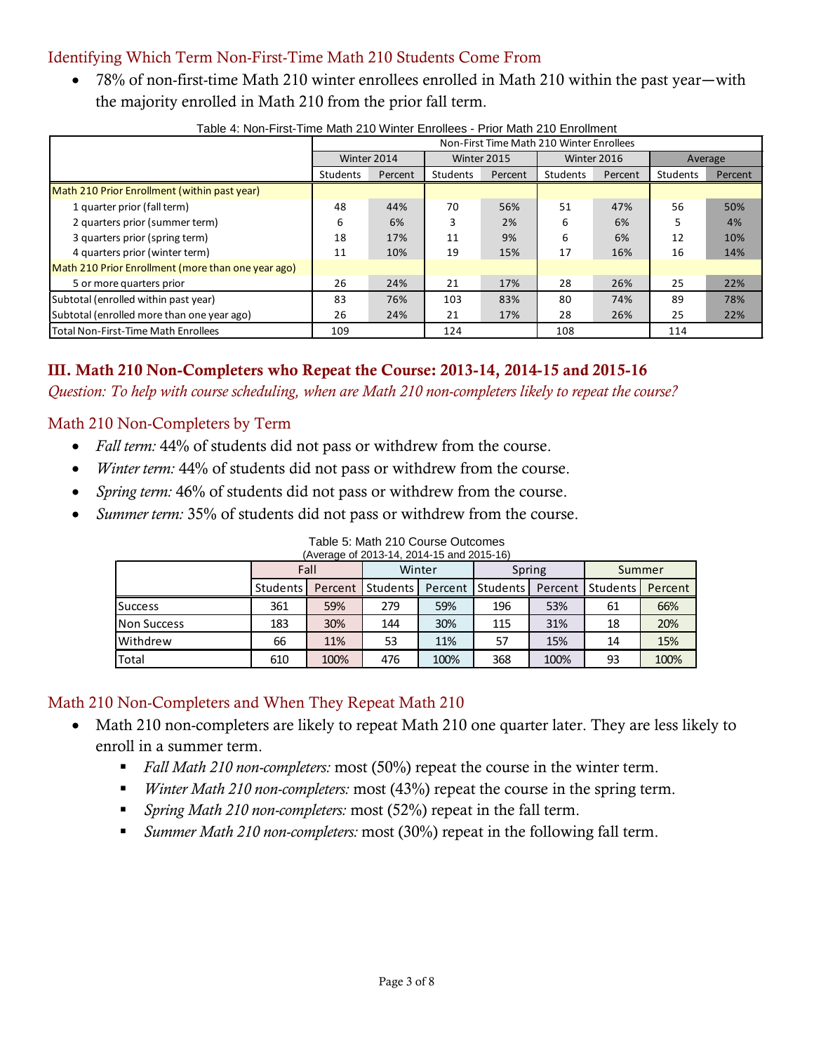# Identifying Which Term Non-First-Time Math 210 Students Come From

• 78% of non-first-time Math 210 winter enrollees enrolled in Math 210 within the past year—with the majority enrolled in Math 210 from the prior fall term.

|                                                    |             |         |                 |         | Non-First Time Math 210 Winter Enrollees |         |                 |         |
|----------------------------------------------------|-------------|---------|-----------------|---------|------------------------------------------|---------|-----------------|---------|
|                                                    | Winter 2014 |         | Winter 2015     |         | Winter 2016                              |         |                 | Average |
|                                                    | Students    | Percent | <b>Students</b> | Percent | Students                                 | Percent | <b>Students</b> | Percent |
| Math 210 Prior Enrollment (within past year)       |             |         |                 |         |                                          |         |                 |         |
| 1 quarter prior (fall term)                        | 48          | 44%     | 70              | 56%     | 51                                       | 47%     | 56              | 50%     |
| 2 quarters prior (summer term)                     | 6           | 6%      | 3               | 2%      | 6                                        | 6%      | 5               | 4%      |
| 3 quarters prior (spring term)                     | 18          | 17%     | 11              | 9%      | 6                                        | 6%      | 12              | 10%     |
| 4 quarters prior (winter term)                     | 11          | 10%     | 19              | 15%     | 17                                       | 16%     | 16              | 14%     |
| Math 210 Prior Enrollment (more than one year ago) |             |         |                 |         |                                          |         |                 |         |
| 5 or more quarters prior                           | 26          | 24%     | 21              | 17%     | 28                                       | 26%     | 25              | 22%     |
| Subtotal (enrolled within past year)               | 83          | 76%     | 103             | 83%     | 80                                       | 74%     | 89              | 78%     |
| Subtotal (enrolled more than one year ago)         | 26          | 24%     | 21              | 17%     | 28                                       | 26%     | 25              | 22%     |
| Total Non-First-Time Math Enrollees                | 109         |         | 124             |         | 108                                      |         | 114             |         |

|--|

# III. Math 210 Non-Completers who Repeat the Course: 2013-14, 2014-15 and 2015-16

*Question: To help with course scheduling, when are Math 210 non-completers likely to repeat the course?*

# Math 210 Non-Completers by Term

- *Fall term:* 44% of students did not pass or withdrew from the course.
- *Winter term:* 44% of students did not pass or withdrew from the course.
- *Spring term:* 46% of students did not pass or withdrew from the course.
- *Summer term:* 35% of students did not pass or withdrew from the course.

|                     | (Average of 2013-14, 2014-15 and 2015-16) |           |            |           |                 |         |                   |         |  |  |  |  |
|---------------------|-------------------------------------------|-----------|------------|-----------|-----------------|---------|-------------------|---------|--|--|--|--|
|                     | Fall                                      |           |            | Winter    |                 | Spring  | Summer            |         |  |  |  |  |
|                     | Students I                                | Percent I | Students I | Percent I | <b>Students</b> | Percent | <b>I</b> Students | Percent |  |  |  |  |
| <b>ISuccess</b>     | 361                                       | 59%       | 279        | 59%       | 196             | 53%     | 61                | 66%     |  |  |  |  |
| <b>INon Success</b> | 183                                       | 30%       | 144        | 30%       | 115             | 31%     | 18                | 20%     |  |  |  |  |
| <b>I</b> Withdrew   | 66                                        | 11%       | 53         | 11%       | 57              | 15%     | 14                | 15%     |  |  |  |  |
| Total               | 610                                       | 100%      | 476        | 100%      | 368             | 100%    | 93                | 100%    |  |  |  |  |

Table 5: Math 210 Course Outcomes

# Math 210 Non-Completers and When They Repeat Math 210

- Math 210 non-completers are likely to repeat Math 210 one quarter later. They are less likely to enroll in a summer term.
	- *Fall Math 210 non-completers:* most (50%) repeat the course in the winter term.
	- *Winter Math 210 non-completers:* most (43%) repeat the course in the spring term.
	- *Spring Math 210 non-completers:* most (52%) repeat in the fall term.
	- *Summer Math 210 non-completers:* most (30%) repeat in the following fall term.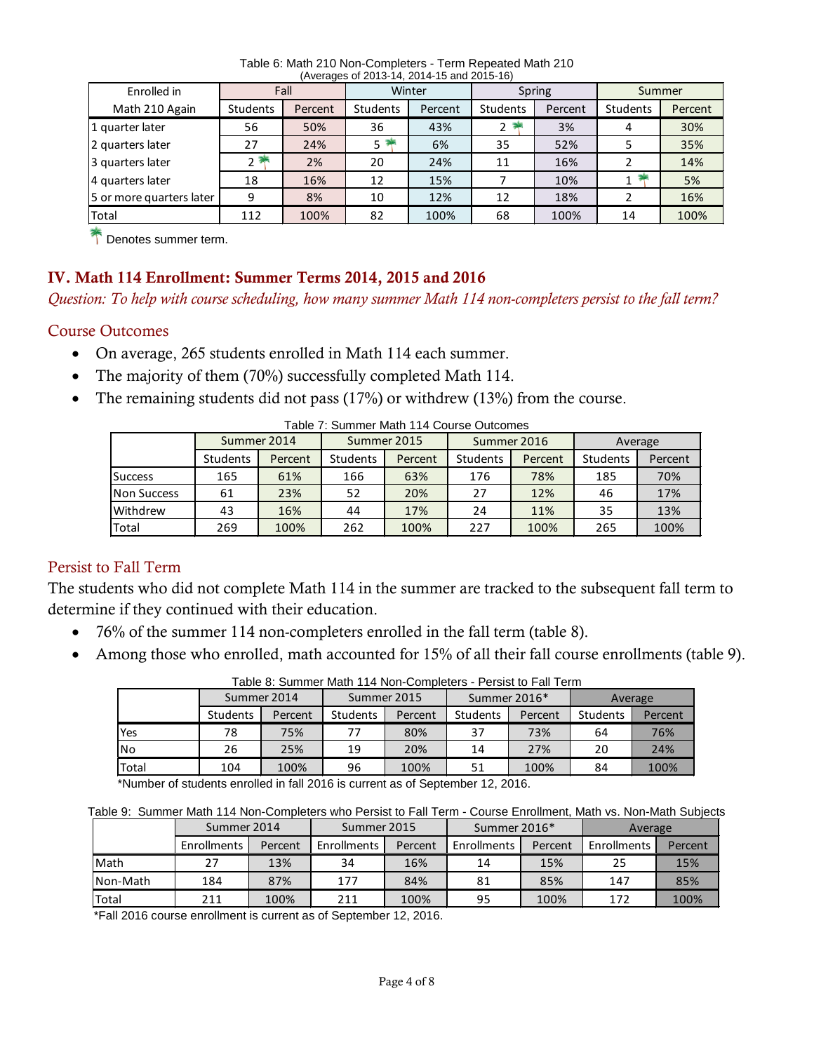| Enrolled in              | Fall            |         |                 | Winter  |                 | Spring  |                 | Summer  |  |
|--------------------------|-----------------|---------|-----------------|---------|-----------------|---------|-----------------|---------|--|
| Math 210 Again           | <b>Students</b> | Percent | <b>Students</b> | Percent | <b>Students</b> | Percent | <b>Students</b> | Percent |  |
| 1 quarter later          | 56              | 50%     | 36              | 43%     | $2 -$           | 3%      |                 | 30%     |  |
| 2 quarters later         | 27              | 24%     | 5 <sup>3</sup>  | 6%      | 35              | 52%     |                 | 35%     |  |
| 3 quarters later         | 2               | 2%      | 20              | 24%     | 11              | 16%     |                 | 14%     |  |
| 4 quarters later         | 18              | 16%     | 12              | 15%     |                 | 10%     | 1               | 5%      |  |
| 5 or more quarters later | 9               | 8%      | 10              | 12%     | 12              | 18%     |                 | 16%     |  |
| Total                    | 112             | 100%    | 82              | 100%    | 68              | 100%    | 14              | 100%    |  |

Table 6: Math 210 Non-Completers - Term Repeated Math 210 (Averages of 2013-14, 2014-15 and 2015-16)

**Thenotes summer term.** 

### IV. Math 114 Enrollment: Summer Terms 2014, 2015 and 2016

*Question: To help with course scheduling, how many summer Math 114 non-completers persist to the fall term?*

### Course Outcomes

- On average, 265 students enrolled in Math 114 each summer.
- The majority of them (70%) successfully completed Math 114.
- The remaining students did not pass  $(17%)$  or withdrew  $(13%)$  from the course.

|                    | Table 7. Suillittel Matti TT4 Course Outcomes |         |                 |         |                 |         |          |         |  |  |  |
|--------------------|-----------------------------------------------|---------|-----------------|---------|-----------------|---------|----------|---------|--|--|--|
|                    | Summer 2014                                   |         | Summer 2015     |         | Summer 2016     |         | Average  |         |  |  |  |
|                    | <b>Students</b>                               | Percent | <b>Students</b> | Percent | <b>Students</b> | Percent | Students | Percent |  |  |  |
| <b>Success</b>     | 165                                           | 61%     | 166             | 63%     | 176             | 78%     | 185      | 70%     |  |  |  |
| <b>Non Success</b> | 61                                            | 23%     | 52              | 20%     | 27              | 12%     | 46       | 17%     |  |  |  |
| Withdrew           | 43                                            | 16%     | 44              | 17%     | 24              | 11%     | 35       | 13%     |  |  |  |
| Total              | 269                                           | 100%    | 262             | 100%    | 227             | 100%    | 265      | 100%    |  |  |  |

| Table 7: Summer Math 114 Course Outcomes |  |  |
|------------------------------------------|--|--|
|------------------------------------------|--|--|

#### Persist to Fall Term

The students who did not complete Math 114 in the summer are tracked to the subsequent fall term to determine if they continued with their education.

- 76% of the summer 114 non-completers enrolled in the fall term (table 8).
- Among those who enrolled, math accounted for 15% of all their fall course enrollments (table 9).

|            | Lable 8: Summer Math 114 Non-Completers - Persist to Fall Term |             |                 |         |                 |              |                 |         |  |  |  |  |
|------------|----------------------------------------------------------------|-------------|-----------------|---------|-----------------|--------------|-----------------|---------|--|--|--|--|
|            |                                                                | Summer 2014 | Summer 2015     |         |                 | Summer 2016* | Average         |         |  |  |  |  |
|            | Students                                                       | Percent     | <b>Students</b> | Percent | <b>Students</b> | Percent      | <b>Students</b> | Percent |  |  |  |  |
| 'Yes       | 78                                                             | 75%         |                 | 80%     | 37              | 73%          | 64              | 76%     |  |  |  |  |
| <b>INo</b> | 26                                                             | 25%         | 19              | 20%     | 14              | 27%          | 20              | 24%     |  |  |  |  |
| Total      | 104                                                            | 100%        | 96              | 100%    |                 | 100%         | 84              | 100%    |  |  |  |  |

Table 8: Summer Math 114 Non-Completers - Persist to Fall Term

\*Number of students enrolled in fall 2016 is current as of September 12, 2016.

Table 9: Summer Math 114 Non-Completers who Persist to Fall Term - Course Enrollment, Math vs. Non-Math Subjects

|               | Summer 2014        |         | Summer 2015 |         | Summer 2016*       |         | Average     |         |
|---------------|--------------------|---------|-------------|---------|--------------------|---------|-------------|---------|
|               | <b>Enrollments</b> | Percent | Enrollments | Percent | <b>Enrollments</b> | Percent | Enrollments | Percent |
| <b>I</b> Math | 27                 | 13%     | 34          | 16%     | 14                 | 15%     | 25          | 15%     |
| INon-Math     | 184                | 87%     | 177         | 84%     | 81                 | 85%     | 147         | 85%     |
| Total         | 211                | 100%    | 211         | 100%    | 95                 | 100%    | 172         | 100%    |

\*Fall 2016 course enrollment is current as of September 12, 2016.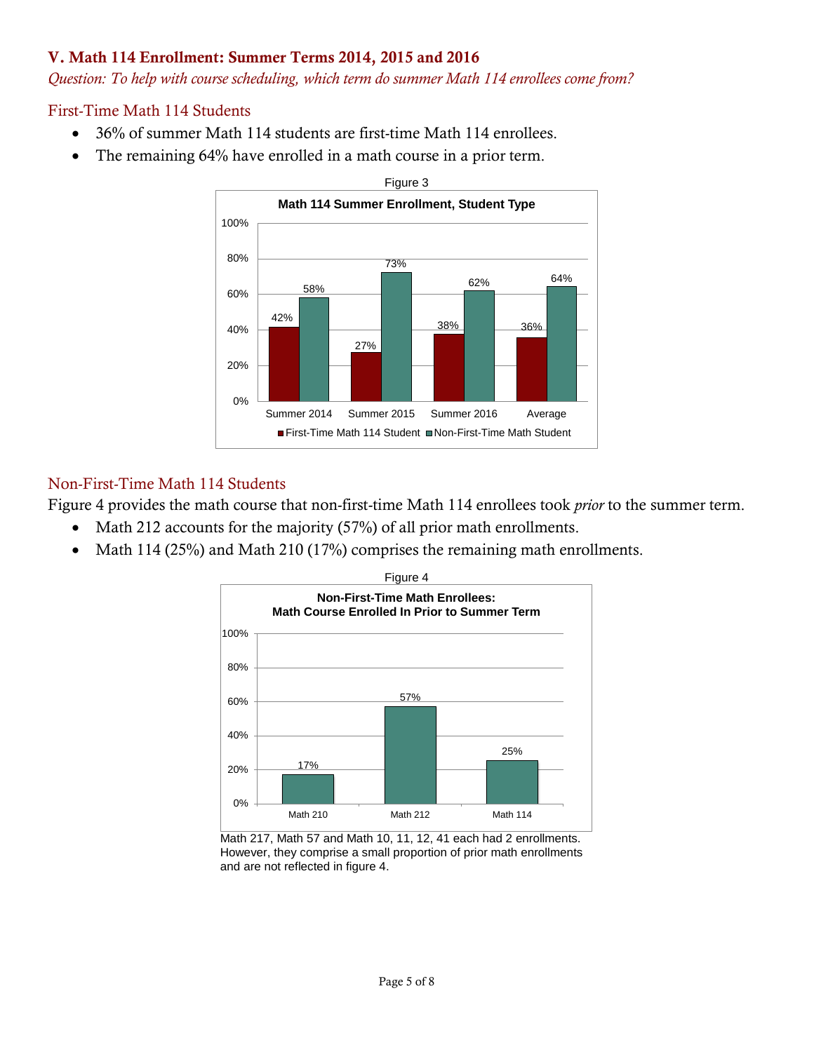### V. Math 114 Enrollment: Summer Terms 2014, 2015 and 2016

*Question: To help with course scheduling, which term do summer Math 114 enrollees come from?*

### First-Time Math 114 Students

- 36% of summer Math 114 students are first-time Math 114 enrollees.
- The remaining 64% have enrolled in a math course in a prior term.



### Non-First-Time Math 114 Students

Figure 4 provides the math course that non-first-time Math 114 enrollees took *prior* to the summer term.

- Math 212 accounts for the majority (57%) of all prior math enrollments.
- Math 114 (25%) and Math 210 (17%) comprises the remaining math enrollments.



Math 217, Math 57 and Math 10, 11, 12, 41 each had 2 enrollments. However, they comprise a small proportion of prior math enrollments and are not reflected in figure 4.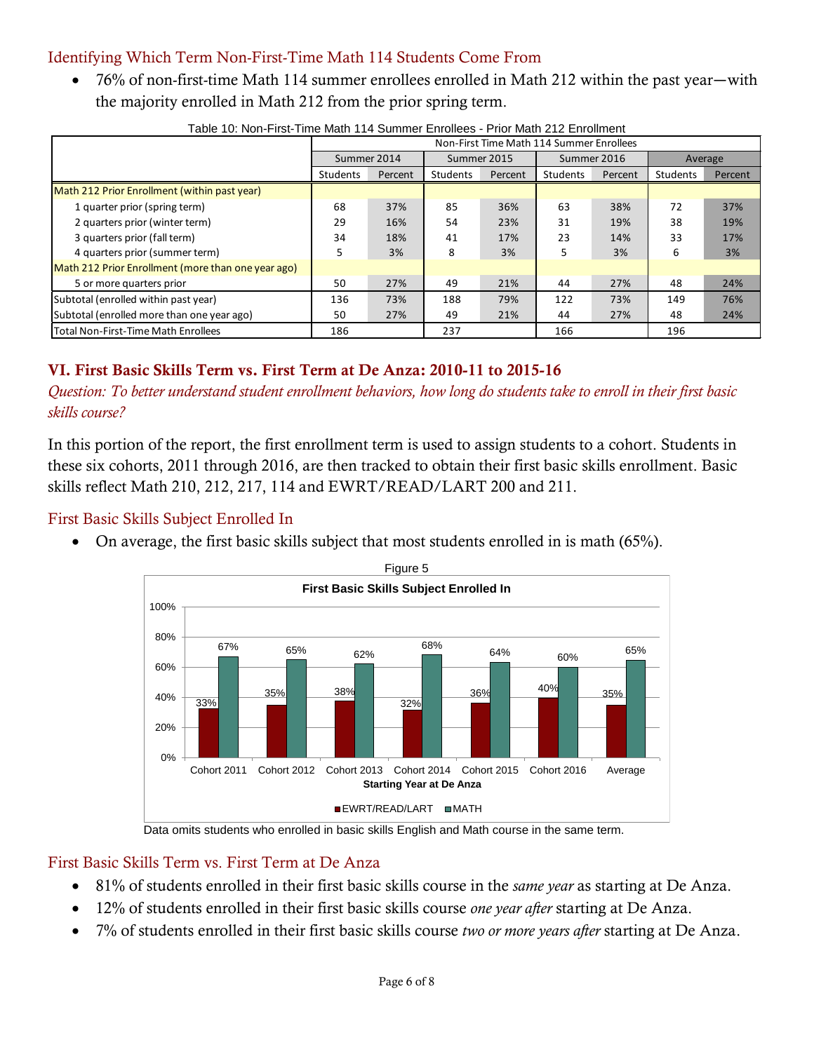### Identifying Which Term Non-First-Time Math 114 Students Come From

• 76% of non-first-time Math 114 summer enrollees enrolled in Math 212 within the past year—with the majority enrolled in Math 212 from the prior spring term.

|                                                    | Non-First Time Math 114 Summer Enrollees |             |                 |             |                 |         |                 |         |  |  |  |
|----------------------------------------------------|------------------------------------------|-------------|-----------------|-------------|-----------------|---------|-----------------|---------|--|--|--|
|                                                    |                                          | Summer 2014 |                 | Summer 2015 | Summer 2016     |         | Average         |         |  |  |  |
|                                                    | Students                                 | Percent     | <b>Students</b> | Percent     | <b>Students</b> | Percent | <b>Students</b> | Percent |  |  |  |
| Math 212 Prior Enrollment (within past year)       |                                          |             |                 |             |                 |         |                 |         |  |  |  |
| 1 quarter prior (spring term)                      | 68                                       | 37%         | 85              | 36%         | 63              | 38%     | 72              | 37%     |  |  |  |
| 2 quarters prior (winter term)                     | 29                                       | 16%         | 54              | 23%         | 31              | 19%     | 38              | 19%     |  |  |  |
| 3 quarters prior (fall term)                       | 34                                       | 18%         | 41              | 17%         | 23              | 14%     | 33              | 17%     |  |  |  |
| 4 quarters prior (summer term)                     | 5                                        | 3%          | 8               | 3%          | 5               | 3%      | 6               | 3%      |  |  |  |
| Math 212 Prior Enrollment (more than one year ago) |                                          |             |                 |             |                 |         |                 |         |  |  |  |
| 5 or more quarters prior                           | 50                                       | 27%         | 49              | 21%         | 44              | 27%     | 48              | 24%     |  |  |  |
| Subtotal (enrolled within past year)               | 136                                      | 73%         | 188             | 79%         | 122             | 73%     | 149             | 76%     |  |  |  |
| Subtotal (enrolled more than one year ago)         | 50                                       | 27%         | 49              | 21%         | 44              | 27%     | 48              | 24%     |  |  |  |
| <b>Total Non-First-Time Math Enrollees</b>         | 186                                      |             | 237             |             | 166             |         | 196             |         |  |  |  |

Table 10: Non-First-Time Math 114 Summer Enrollees - Prior Math 212 Enrollment

# VI. First Basic Skills Term vs. First Term at De Anza: 2010-11 to 2015-16

*Question: To better understand student enrollment behaviors, how long do students take to enroll in their first basic skills course?*

In this portion of the report, the first enrollment term is used to assign students to a cohort. Students in these six cohorts, 2011 through 2016, are then tracked to obtain their first basic skills enrollment. Basic skills reflect Math 210, 212, 217, 114 and EWRT/READ/LART 200 and 211.

# First Basic Skills Subject Enrolled In

• On average, the first basic skills subject that most students enrolled in is math (65%).



Data omits students who enrolled in basic skills English and Math course in the same term.

First Basic Skills Term vs. First Term at De Anza

- 81% of students enrolled in their first basic skills course in the *same year* as starting at De Anza.
- 12% of students enrolled in their first basic skills course *one year after* starting at De Anza.
- 7% of students enrolled in their first basic skills course *two or more years after* starting at De Anza.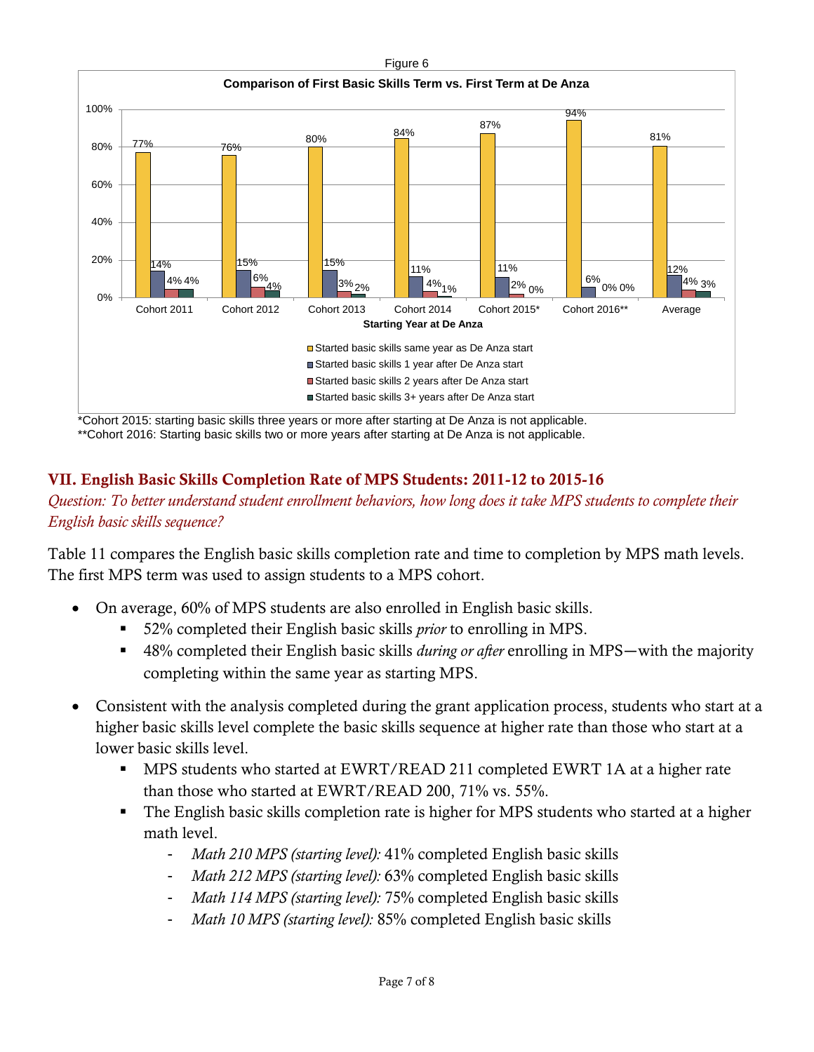

\*Cohort 2015: starting basic skills three years or more after starting at De Anza is not applicable. \*\*Cohort 2016: Starting basic skills two or more years after starting at De Anza is not applicable.

# VII. English Basic Skills Completion Rate of MPS Students: 2011-12 to 2015-16

### *Question: To better understand student enrollment behaviors, how long does it take MPS students to complete their English basic skills sequence?*

Table 11 compares the English basic skills completion rate and time to completion by MPS math levels. The first MPS term was used to assign students to a MPS cohort.

- On average, 60% of MPS students are also enrolled in English basic skills.
	- 52% completed their English basic skills *prior* to enrolling in MPS.
	- 48% completed their English basic skills *during or after* enrolling in MPS—with the majority completing within the same year as starting MPS.
- Consistent with the analysis completed during the grant application process, students who start at a higher basic skills level complete the basic skills sequence at higher rate than those who start at a lower basic skills level.
	- MPS students who started at EWRT/READ 211 completed EWRT 1A at a higher rate than those who started at EWRT/READ 200, 71% vs. 55%.
	- The English basic skills completion rate is higher for MPS students who started at a higher math level.
		- *Math 210 MPS (starting level):* 41% completed English basic skills
		- *Math 212 MPS (starting level):* 63% completed English basic skills
		- *Math 114 MPS (starting level):* 75% completed English basic skills
		- *Math 10 MPS (starting level):* 85% completed English basic skills